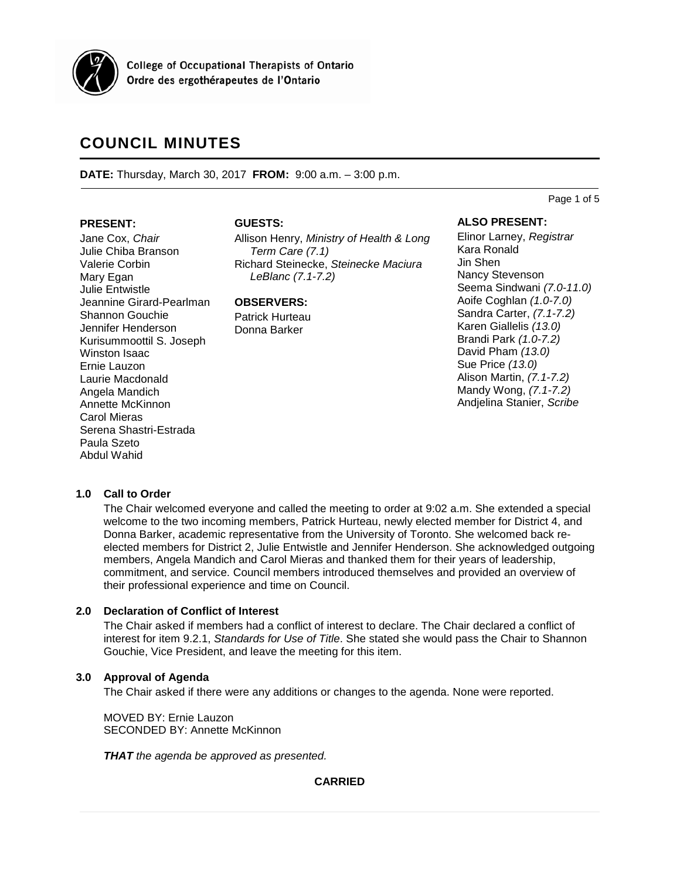

**College of Occupational Therapists of Ontario** Ordre des ergothérapeutes de l'Ontario

# **COUNCIL MINUTES**

**DATE:** Thursday, March 30, 2017 **FROM:** 9:00 a.m. – 3:00 p.m.

### **PRESENT:**

Jane Cox, *Chair* Julie Chiba Branson Valerie Corbin Mary Egan Julie Entwistle Jeannine Girard-Pearlman Shannon Gouchie Jennifer Henderson Kurisummoottil S. Joseph Winston Isaac Ernie Lauzon Laurie Macdonald Angela Mandich Annette McKinnon Carol Mieras Serena Shastri-Estrada Paula Szeto Abdul Wahid

## **GUESTS:**

Allison Henry, *Ministry of Health & Long Term Care (7.1)* Richard Steinecke, *Steinecke Maciura LeBlanc (7.1-7.2)*

# **OBSERVERS:**

Patrick Hurteau Donna Barker

### **ALSO PRESENT:**

Elinor Larney, *Registrar* Kara Ronald Jin Shen Nancy Stevenson Seema Sindwani *(7.0-11.0)* Aoife Coghlan *(1.0-7.0)* Sandra Carter, *(7.1-7.2)* Karen Giallelis *(13.0)* Brandi Park *(1.0-7.2)* David Pham *(13.0)* Sue Price *(13.0)* Alison Martin, *(7.1-7.2)* Mandy Wong, *(7.1-7.2)* Andjelina Stanier, *Scribe*

Page 1 of 5

# **1.0 Call to Order**

The Chair welcomed everyone and called the meeting to order at 9:02 a.m. She extended a special welcome to the two incoming members, Patrick Hurteau, newly elected member for District 4, and Donna Barker, academic representative from the University of Toronto. She welcomed back reelected members for District 2, Julie Entwistle and Jennifer Henderson. She acknowledged outgoing members, Angela Mandich and Carol Mieras and thanked them for their years of leadership, commitment, and service. Council members introduced themselves and provided an overview of their professional experience and time on Council.

# **2.0 Declaration of Conflict of Interest**

The Chair asked if members had a conflict of interest to declare. The Chair declared a conflict of interest for item 9.2.1, *Standards for Use of Title*. She stated she would pass the Chair to Shannon Gouchie, Vice President, and leave the meeting for this item.

# **3.0 Approval of Agenda**

The Chair asked if there were any additions or changes to the agenda. None were reported.

MOVED BY: Ernie Lauzon SECONDED BY: Annette McKinnon

*THAT the agenda be approved as presented.*

**CARRIED**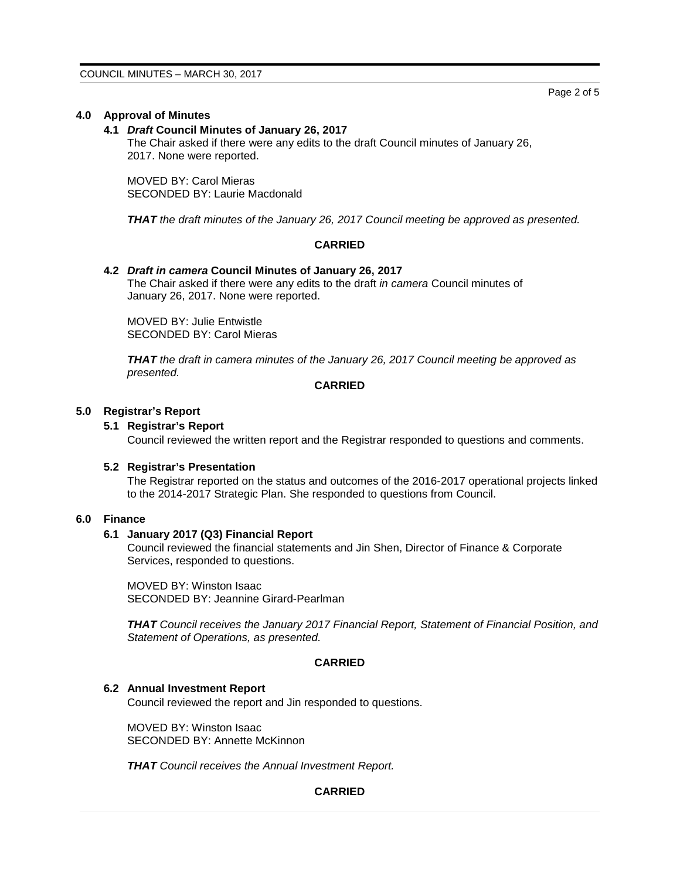# **4.0 Approval of Minutes**

### **4.1** *Draft* **Council Minutes of January 26, 2017**

The Chair asked if there were any edits to the draft Council minutes of January 26, 2017. None were reported.

MOVED BY: Carol Mieras SECONDED BY: Laurie Macdonald

*THAT the draft minutes of the January 26, 2017 Council meeting be approved as presented.*

# **CARRIED**

### **4.2** *Draft in camera* **Council Minutes of January 26, 2017**

The Chair asked if there were any edits to the draft *in camera* Council minutes of January 26, 2017. None were reported.

MOVED BY: Julie Entwistle SECONDED BY: Carol Mieras

*THAT the draft in camera minutes of the January 26, 2017 Council meeting be approved as presented.*

### **CARRIED**

### **5.0 Registrar's Report**

# **5.1 Registrar's Report**

Council reviewed the written report and the Registrar responded to questions and comments.

#### **5.2 Registrar's Presentation**

The Registrar reported on the status and outcomes of the 2016-2017 operational projects linked to the 2014-2017 Strategic Plan. She responded to questions from Council.

# **6.0 Finance**

# **6.1 January 2017 (Q3) Financial Report**

Council reviewed the financial statements and Jin Shen, Director of Finance & Corporate Services, responded to questions.

MOVED BY: Winston Isaac SECONDED BY: Jeannine Girard-Pearlman

*THAT Council receives the January 2017 Financial Report, Statement of Financial Position, and Statement of Operations, as presented.*

### **CARRIED**

#### **6.2 Annual Investment Report**

Council reviewed the report and Jin responded to questions.

MOVED BY: Winston Isaac SECONDED BY: Annette McKinnon

*THAT Council receives the Annual Investment Report.*

# **CARRIED**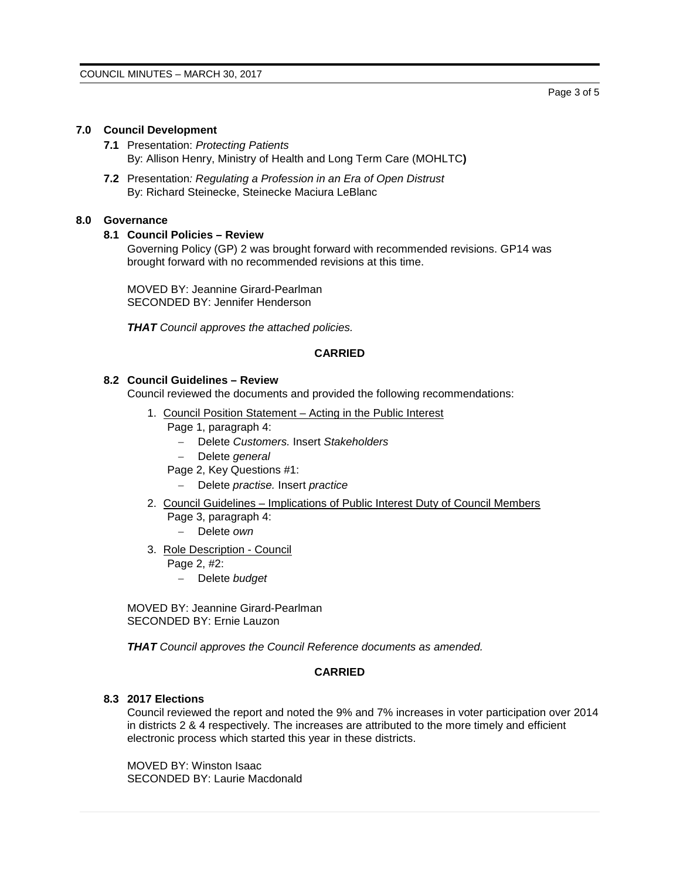# **7.0 Council Development**

- **7.1** Presentation: *Protecting Patients* By: Allison Henry, Ministry of Health and Long Term Care (MOHLTC**)**
- **7.2** Presentation*: Regulating a Profession in an Era of Open Distrust* By: Richard Steinecke, Steinecke Maciura LeBlanc

# **8.0 Governance**

# **8.1 Council Policies – Review**

Governing Policy (GP) 2 was brought forward with recommended revisions. GP14 was brought forward with no recommended revisions at this time.

MOVED BY: Jeannine Girard-Pearlman SECONDED BY: Jennifer Henderson

*THAT Council approves the attached policies.*

# **CARRIED**

# **8.2 Council Guidelines – Review**

Council reviewed the documents and provided the following recommendations:

- 1. Council Position Statement Acting in the Public Interest
	- Page 1, paragraph 4:
		- − Delete *Customers.* Insert *Stakeholders*
			- − Delete *general*
	- Page 2, Key Questions #1:
		- − Delete *practise.* Insert *practice*
- 2. Council Guidelines Implications of Public Interest Duty of Council Members Page 3, paragraph 4:
	- − Delete *own*
- 3. Role Description Council
	- Page 2, #2:
		- − Delete *budget*

MOVED BY: Jeannine Girard-Pearlman SECONDED BY: Ernie Lauzon

*THAT Council approves the Council Reference documents as amended.*

# **CARRIED**

# **8.3 2017 Elections**

Council reviewed the report and noted the 9% and 7% increases in voter participation over 2014 in districts 2 & 4 respectively. The increases are attributed to the more timely and efficient electronic process which started this year in these districts.

MOVED BY: Winston Isaac SECONDED BY: Laurie Macdonald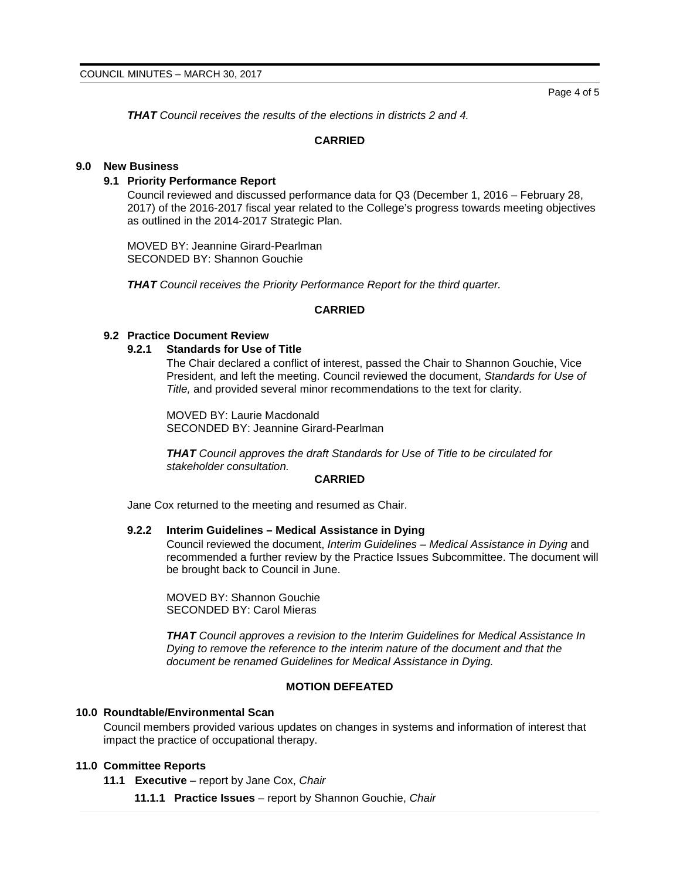Page 4 of 5

*THAT Council receives the results of the elections in districts 2 and 4.*

### **CARRIED**

### **9.0 New Business**

# **9.1 Priority Performance Report**

Council reviewed and discussed performance data for Q3 (December 1, 2016 – February 28, 2017) of the 2016-2017 fiscal year related to the College's progress towards meeting objectives as outlined in the 2014-2017 Strategic Plan.

MOVED BY: Jeannine Girard-Pearlman SECONDED BY: Shannon Gouchie

*THAT Council receives the Priority Performance Report for the third quarter.*

#### **CARRIED**

# **9.2 Practice Document Review**

### **9.2.1 Standards for Use of Title**

The Chair declared a conflict of interest, passed the Chair to Shannon Gouchie, Vice President, and left the meeting. Council reviewed the document, *Standards for Use of Title,* and provided several minor recommendations to the text for clarity.

MOVED BY: Laurie Macdonald SECONDED BY: Jeannine Girard-Pearlman

*THAT Council approves the draft Standards for Use of Title to be circulated for stakeholder consultation.*

### **CARRIED**

Jane Cox returned to the meeting and resumed as Chair.

### **9.2.2 Interim Guidelines – Medical Assistance in Dying**

Council reviewed the document, *Interim Guidelines – Medical Assistance in Dying* and recommended a further review by the Practice Issues Subcommittee. The document will be brought back to Council in June.

MOVED BY: Shannon Gouchie SECONDED BY: Carol Mieras

*THAT Council approves a revision to the Interim Guidelines for Medical Assistance In Dying to remove the reference to the interim nature of the document and that the document be renamed Guidelines for Medical Assistance in Dying.*

### **MOTION DEFEATED**

#### **10.0 Roundtable/Environmental Scan**

Council members provided various updates on changes in systems and information of interest that impact the practice of occupational therapy.

# **11.0 Committee Reports**

- **11.1 Executive** report by Jane Cox, *Chair*
	- **11.1.1 Practice Issues** report by Shannon Gouchie, *Chair*